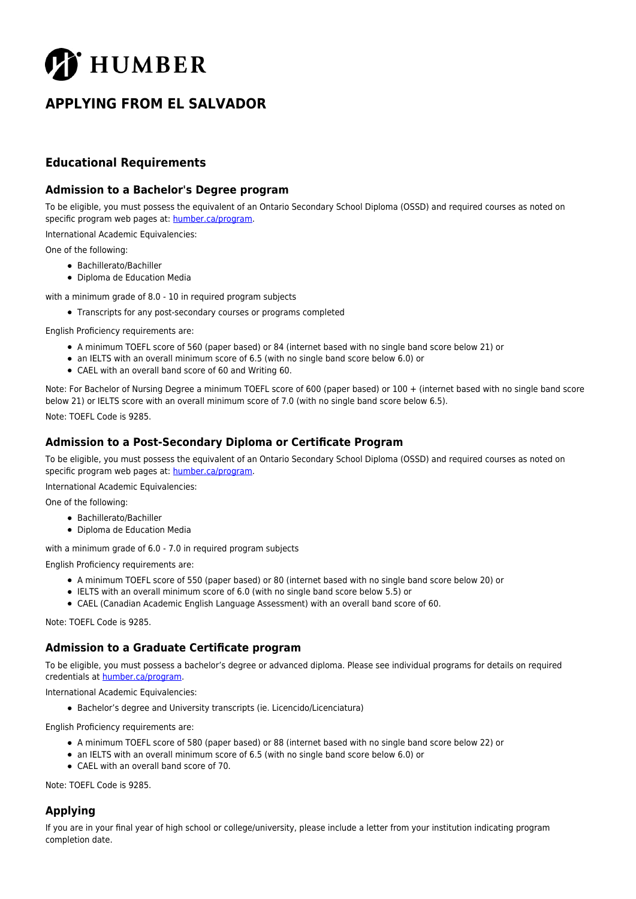

# **APPLYING FROM EL SALVADOR**

## **Educational Requirements**

#### **Admission to a Bachelor's Degree program**

To be eligible, you must possess the equivalent of an Ontario Secondary School Diploma (OSSD) and required courses as noted on specific program web pages at: [humber.ca/program](http://humber.ca/program).

International Academic Equivalencies:

One of the following:

- Bachillerato/Bachiller
- Diploma de Education Media
- with a minimum grade of 8.0 10 in required program subjects
	- Transcripts for any post-secondary courses or programs completed

English Proficiency requirements are:

- A minimum TOEFL score of 560 (paper based) or 84 (internet based with no single band score below 21) or
- an IELTS with an overall minimum score of 6.5 (with no single band score below 6.0) or
- CAEL with an overall band score of 60 and Writing 60.

Note: For Bachelor of Nursing Degree a minimum TOEFL score of 600 (paper based) or 100 + (internet based with no single band score below 21) or IELTS score with an overall minimum score of 7.0 (with no single band score below 6.5).

Note: TOEFL Code is 9285.

### **Admission to a Post-Secondary Diploma or Certificate Program**

To be eligible, you must possess the equivalent of an Ontario Secondary School Diploma (OSSD) and required courses as noted on specific program web pages at: [humber.ca/program](http://humber.ca/program).

International Academic Equivalencies:

One of the following:

- Bachillerato/Bachiller
- Diploma de Education Media

with a minimum grade of 6.0 - 7.0 in required program subjects

English Proficiency requirements are:

- A minimum TOEFL score of 550 (paper based) or 80 (internet based with no single band score below 20) or
- IELTS with an overall minimum score of 6.0 (with no single band score below 5.5) or
- CAEL (Canadian Academic English Language Assessment) with an overall band score of 60.

Note: TOEFL Code is 9285.

#### **Admission to a Graduate Certificate program**

To be eligible, you must possess a bachelor's degree or advanced diploma. Please see individual programs for details on required credentials at [humber.ca/program](http://humber.ca/program).

International Academic Equivalencies:

Bachelor's degree and University transcripts (ie. Licencido/Licenciatura)

English Proficiency requirements are:

- A minimum TOEFL score of 580 (paper based) or 88 (internet based with no single band score below 22) or
- an IELTS with an overall minimum score of 6.5 (with no single band score below 6.0) or
- CAEL with an overall band score of 70.

Note: TOEFL Code is 9285.

## **Applying**

If you are in your final year of high school or college/university, please include a letter from your institution indicating program completion date.